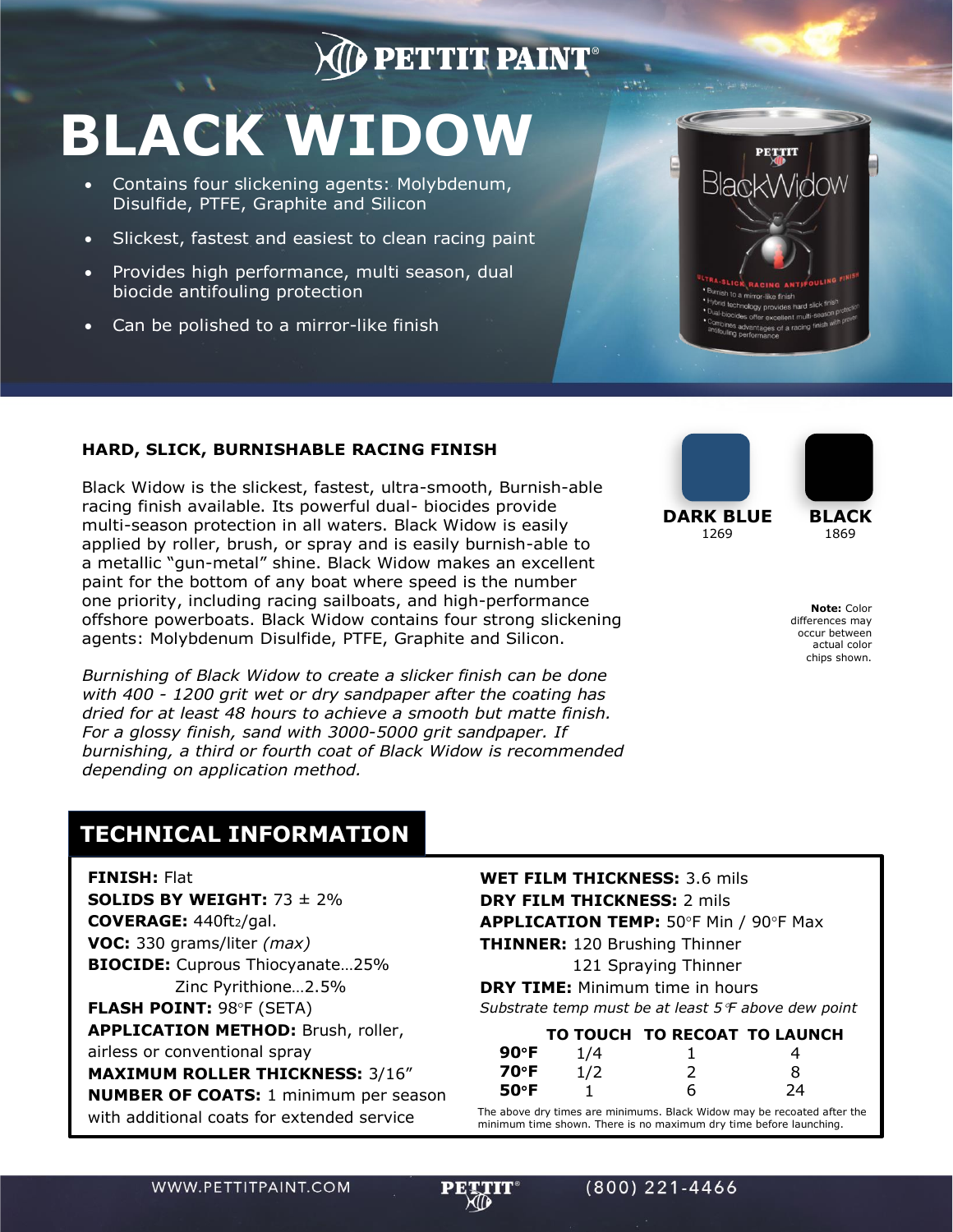## **D** PETTIT PAINT

## **BLACK WIDOW**

- Contains four slickening agents: Molybdenum, Disulfide, PTFE, Graphite and Silicon
- Slickest, fastest and easiest to clean racing paint
- Provides high performance, multi season, dual biocide antifouling protection
- Can be polished to a mirror-like finish



 $2 - 11$ 

## **HARD, SLICK, BURNISHABLE RACING FINISH**

Black Widow is the slickest, fastest, ultra-smooth, Burnish-able racing finish available. Its powerful dual- biocides provide multi-season protection in all waters. Black Widow is easily applied by roller, brush, or spray and is easily burnish-able to a metallic "gun-metal" shine. Black Widow makes an excellent paint for the bottom of any boat where speed is the number one priority, including racing sailboats, and high-performance offshore powerboats. Black Widow contains four strong slickening agents: Molybdenum Disulfide, PTFE, Graphite and Silicon.

*Burnishing of Black Widow to create a slicker finish can be done with 400 - 1200 grit wet or dry sandpaper after the coating has dried for at least 48 hours to achieve a smooth but matte finish. For a glossy finish, sand with 3000-5000 grit sandpaper. If burnishing, a third or fourth coat of Black Widow is recommended depending on application method.*



**Note:** Color differences may occur between actual color chips shown.

## **TECHNICAL INFORMATION**

**FINISH:** Flat

**SOLIDS BY WEIGHT:** 73 ± 2% **COVERAGE:** 440ft2/gal. **VOC:** 330 grams/liter *(max)* **BIOCIDE:** Cuprous Thiocyanate…25% Zinc Pyrithione…2.5% **FLASH POINT: 98°F (SETA) APPLICATION METHOD:** Brush, roller, airless or conventional spray **MAXIMUM ROLLER THICKNESS:** 3/16" **NUMBER OF COATS:** 1 minimum per season with additional coats for extended service

**WET FILM THICKNESS:** 3.6 mils **DRY FILM THICKNESS:** 2 mils APPLICATION TEMP: 50°F Min / 90°F Max **THINNER:** 120 Brushing Thinner

121 Spraying Thinner

**DRY TIME:** Minimum time in hours *Substrate temp must be at least 5F above dew point*

|      |     | TO TOUCH TO RECOAT TO LAUNCH |    |
|------|-----|------------------------------|----|
| 90°F | 1/4 |                              |    |
| 70°F | 1/2 |                              | x  |
| 50°F |     | h                            | 24 |

The above dry times are minimums. Black Widow may be recoated after the minimum time shown. There is no maximum dry time before launching.